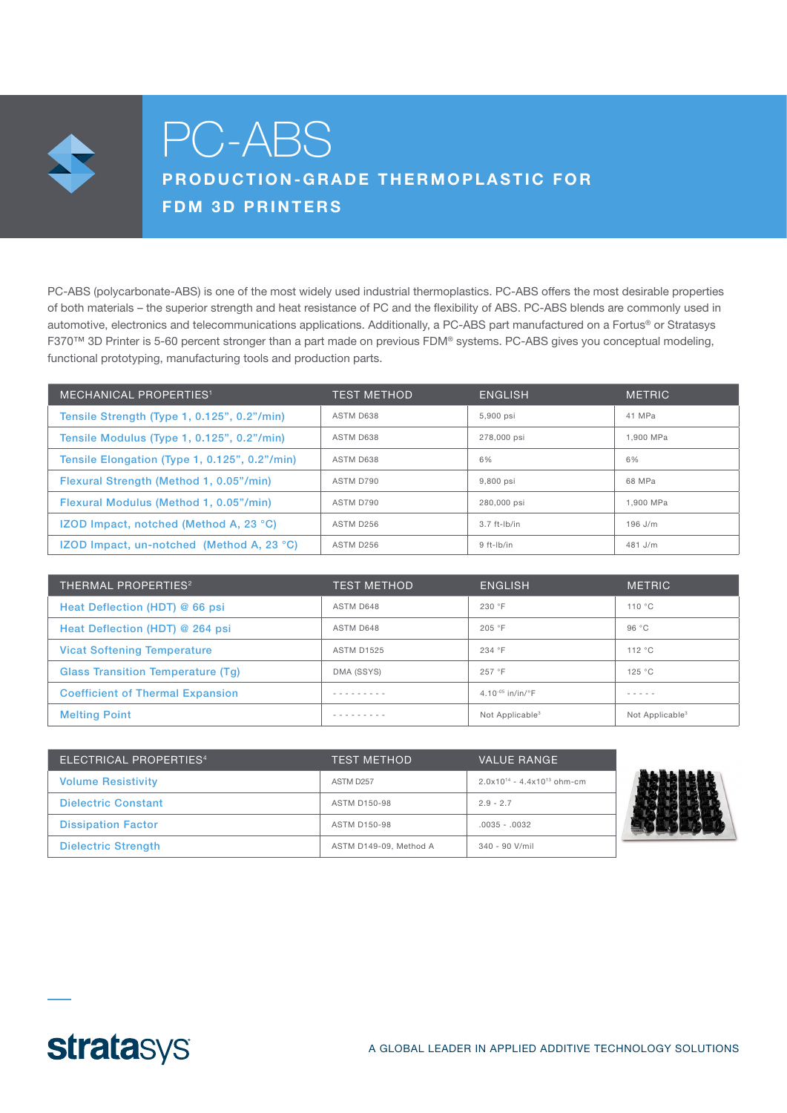

# PC-ABS

# PRODUCTION-GRADE THERMOPLASTIC FOR FDM 3D PRINTERS

PC-ABS (polycarbonate-ABS) is one of the most widely used industrial thermoplastics. PC-ABS offers the most desirable properties of both materials – the superior strength and heat resistance of PC and the flexibility of ABS. PC-ABS blends are commonly used in automotive, electronics and telecommunications applications. Additionally, a PC-ABS part manufactured on a Fortus® or Stratasys F370™ 3D Printer is 5-60 percent stronger than a part made on previous FDM® systems. PC-ABS gives you conceptual modeling, functional prototyping, manufacturing tools and production parts.

| <b>MECHANICAL PROPERTIES<sup>1</sup></b>         | <b>TEST METHOD</b> | <b>ENGLISH</b> | <b>METRIC</b> |
|--------------------------------------------------|--------------------|----------------|---------------|
| Tensile Strength (Type 1, 0.125", 0.2"/min)      | ASTM D638          | 5,900 psi      | 41 MPa        |
| Tensile Modulus (Type 1, 0.125", 0.2"/min)       | ASTM D638          | 278,000 psi    | 1.900 MPa     |
| Tensile Elongation (Type 1, 0.125", 0.2"/min)    | ASTM D638          | 6%             | 6%            |
| Flexural Strength (Method 1, 0.05"/min)          | ASTM D790          | 9.800 psi      | 68 MPa        |
| Flexural Modulus (Method 1, 0.05"/min)           | ASTM D790          | 280,000 psi    | 1.900 MPa     |
| <b>IZOD Impact, notched (Method A, 23 °C)</b>    | ASTM D256          | $3.7$ ft-lb/in | $196$ J/m     |
| <b>IZOD Impact, un-notched (Method A, 23 °C)</b> | ASTM D256          | $9$ ft-lb/in   | $481$ J/m     |

| THERMAL PROPERTIES <sup>2</sup>         | TEST METHOD       | <b>ENGLISH</b>                 | <b>METRIC</b>               |
|-----------------------------------------|-------------------|--------------------------------|-----------------------------|
| Heat Deflection (HDT) @ 66 psi          | ASTM D648         | 230 °F                         | 110 °C                      |
| Heat Deflection (HDT) @ 264 psi         | ASTM D648         | 205 °F                         | 96 °C                       |
| <b>Vicat Softening Temperature</b>      | <b>ASTM D1525</b> | 234 °F                         | 112 °C                      |
| Glass Transition Temperature (Tq)       | DMA (SSYS)        | 257 °F                         | 125 °C                      |
| <b>Coefficient of Thermal Expansion</b> | - - - - - - - - - | 4.10 $-0.5$ in/in/ $\degree$ F | - - - - -                   |
| <b>Melting Point</b>                    |                   | Not Applicable <sup>3</sup>    | Not Applicable <sup>3</sup> |

| ELECTRICAL PROPERTIES <sup>4</sup> | <b>TEST METHOD</b>     | <b>VALUE RANGE</b>                 |
|------------------------------------|------------------------|------------------------------------|
| <b>Volume Resistivity</b>          | ASTM D <sub>257</sub>  | $2.0x10^{14} - 4.4x10^{13}$ ohm-cm |
| <b>Dielectric Constant</b>         | ASTM D150-98           | $2.9 - 2.7$                        |
| <b>Dissipation Factor</b>          | <b>ASTM D150-98</b>    | $.0035 - .0032$                    |
| <b>Dielectric Strength</b>         | ASTM D149-09, Method A | $340 - 90$ V/mil                   |